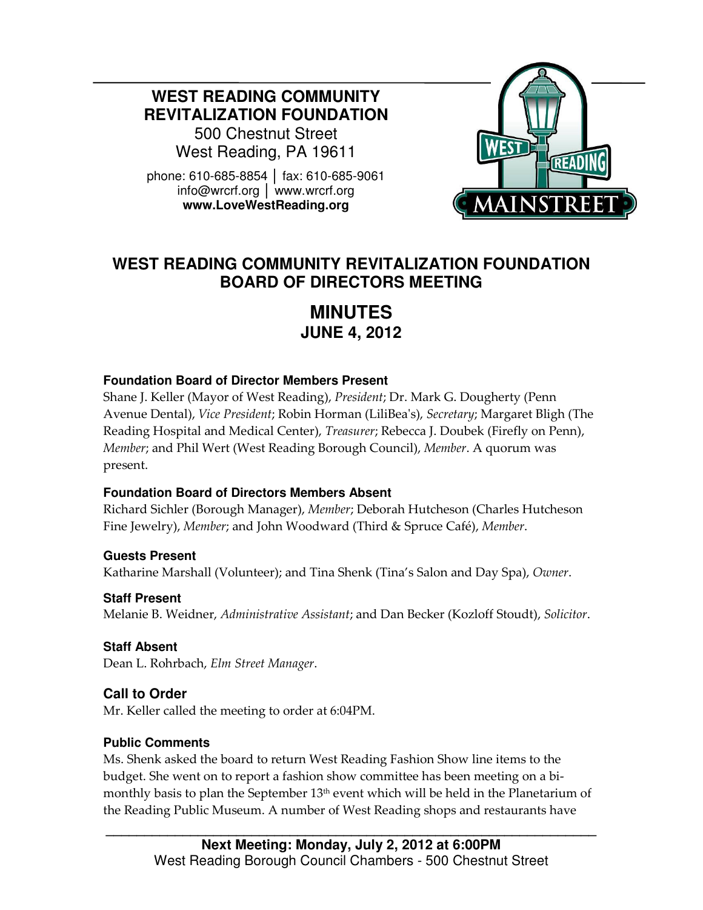**WEST READING COMMUNITY REVITALIZATION FOUNDATION** 

500 Chestnut Street West Reading, PA 19611

phone: 610-685-8854 │ fax: 610-685-9061 info@wrcrf.org │ www.wrcrf.org **www.LoveWestReading.org** 



## **WEST READING COMMUNITY REVITALIZATION FOUNDATION BOARD OF DIRECTORS MEETING**

# **MINUTES JUNE 4, 2012**

#### **Foundation Board of Director Members Present**

Shane J. Keller (Mayor of West Reading), President; Dr. Mark G. Dougherty (Penn Avenue Dental), Vice President; Robin Horman (LiliBea's), Secretary; Margaret Bligh (The Reading Hospital and Medical Center), Treasurer; Rebecca J. Doubek (Firefly on Penn), Member; and Phil Wert (West Reading Borough Council), Member. A quorum was present.

## **Foundation Board of Directors Members Absent**

Richard Sichler (Borough Manager), Member; Deborah Hutcheson (Charles Hutcheson Fine Jewelry), Member; and John Woodward (Third & Spruce Café), Member.

**Guests Present** Katharine Marshall (Volunteer); and Tina Shenk (Tina's Salon and Day Spa), Owner.

**Staff Present**  Melanie B. Weidner, Administrative Assistant; and Dan Becker (Kozloff Stoudt), Solicitor.

**Staff Absent**  Dean L. Rohrbach, Elm Street Manager.

## **Call to Order**

Ī

Mr. Keller called the meeting to order at 6:04PM.

## **Public Comments**

Ms. Shenk asked the board to return West Reading Fashion Show line items to the budget. She went on to report a fashion show committee has been meeting on a bimonthly basis to plan the September 13<sup>th</sup> event which will be held in the Planetarium of the Reading Public Museum. A number of West Reading shops and restaurants have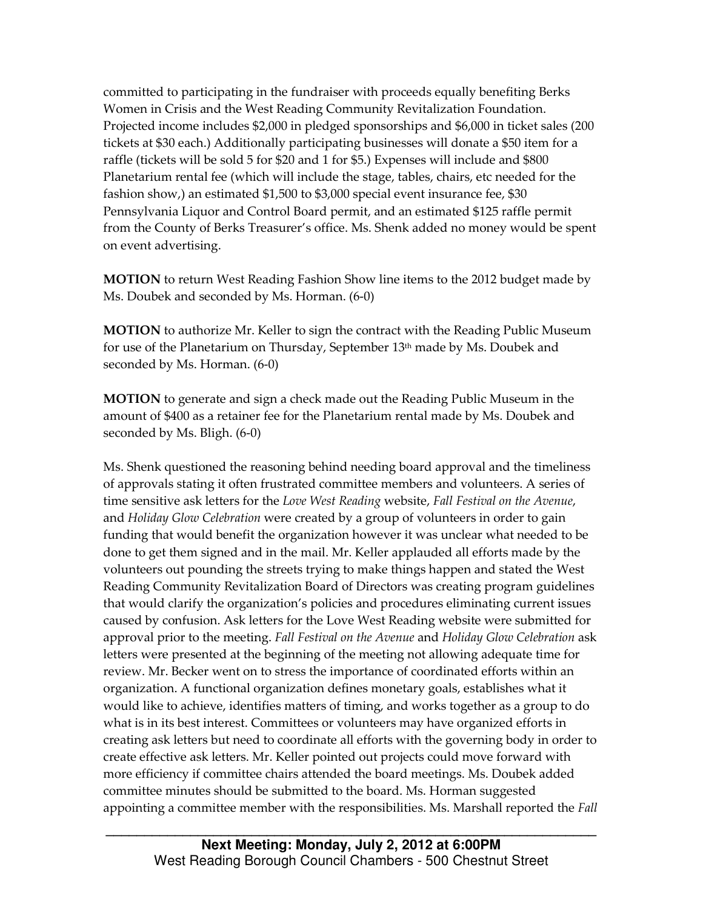committed to participating in the fundraiser with proceeds equally benefiting Berks Women in Crisis and the West Reading Community Revitalization Foundation. Projected income includes \$2,000 in pledged sponsorships and \$6,000 in ticket sales (200 tickets at \$30 each.) Additionally participating businesses will donate a \$50 item for a raffle (tickets will be sold 5 for \$20 and 1 for \$5.) Expenses will include and \$800 Planetarium rental fee (which will include the stage, tables, chairs, etc needed for the fashion show,) an estimated \$1,500 to \$3,000 special event insurance fee, \$30 Pennsylvania Liquor and Control Board permit, and an estimated \$125 raffle permit from the County of Berks Treasurer's office. Ms. Shenk added no money would be spent on event advertising.

MOTION to return West Reading Fashion Show line items to the 2012 budget made by Ms. Doubek and seconded by Ms. Horman. (6-0)

MOTION to authorize Mr. Keller to sign the contract with the Reading Public Museum for use of the Planetarium on Thursday, September 13<sup>th</sup> made by Ms. Doubek and seconded by Ms. Horman. (6-0)

MOTION to generate and sign a check made out the Reading Public Museum in the amount of \$400 as a retainer fee for the Planetarium rental made by Ms. Doubek and seconded by Ms. Bligh. (6-0)

Ms. Shenk questioned the reasoning behind needing board approval and the timeliness of approvals stating it often frustrated committee members and volunteers. A series of time sensitive ask letters for the Love West Reading website, Fall Festival on the Avenue, and Holiday Glow Celebration were created by a group of volunteers in order to gain funding that would benefit the organization however it was unclear what needed to be done to get them signed and in the mail. Mr. Keller applauded all efforts made by the volunteers out pounding the streets trying to make things happen and stated the West Reading Community Revitalization Board of Directors was creating program guidelines that would clarify the organization's policies and procedures eliminating current issues caused by confusion. Ask letters for the Love West Reading website were submitted for approval prior to the meeting. Fall Festival on the Avenue and Holiday Glow Celebration ask letters were presented at the beginning of the meeting not allowing adequate time for review. Mr. Becker went on to stress the importance of coordinated efforts within an organization. A functional organization defines monetary goals, establishes what it would like to achieve, identifies matters of timing, and works together as a group to do what is in its best interest. Committees or volunteers may have organized efforts in creating ask letters but need to coordinate all efforts with the governing body in order to create effective ask letters. Mr. Keller pointed out projects could move forward with more efficiency if committee chairs attended the board meetings. Ms. Doubek added committee minutes should be submitted to the board. Ms. Horman suggested appointing a committee member with the responsibilities. Ms. Marshall reported the Fall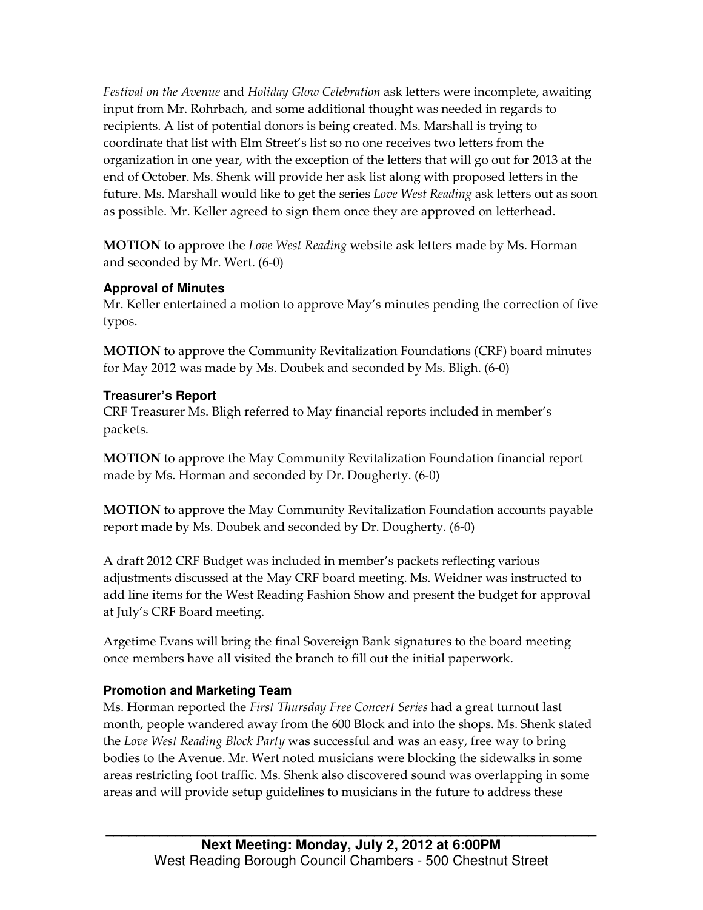Festival on the Avenue and Holiday Glow Celebration ask letters were incomplete, awaiting input from Mr. Rohrbach, and some additional thought was needed in regards to recipients. A list of potential donors is being created. Ms. Marshall is trying to coordinate that list with Elm Street's list so no one receives two letters from the organization in one year, with the exception of the letters that will go out for 2013 at the end of October. Ms. Shenk will provide her ask list along with proposed letters in the future. Ms. Marshall would like to get the series *Love West Reading* ask letters out as soon as possible. Mr. Keller agreed to sign them once they are approved on letterhead.

**MOTION** to approve the *Love West Reading* website ask letters made by Ms. Horman and seconded by Mr. Wert. (6-0)

#### **Approval of Minutes**

Mr. Keller entertained a motion to approve May's minutes pending the correction of five typos.

MOTION to approve the Community Revitalization Foundations (CRF) board minutes for May 2012 was made by Ms. Doubek and seconded by Ms. Bligh. (6-0)

## **Treasurer's Report**

CRF Treasurer Ms. Bligh referred to May financial reports included in member's packets.

MOTION to approve the May Community Revitalization Foundation financial report made by Ms. Horman and seconded by Dr. Dougherty. (6-0)

MOTION to approve the May Community Revitalization Foundation accounts payable report made by Ms. Doubek and seconded by Dr. Dougherty. (6-0)

A draft 2012 CRF Budget was included in member's packets reflecting various adjustments discussed at the May CRF board meeting. Ms. Weidner was instructed to add line items for the West Reading Fashion Show and present the budget for approval at July's CRF Board meeting.

Argetime Evans will bring the final Sovereign Bank signatures to the board meeting once members have all visited the branch to fill out the initial paperwork.

## **Promotion and Marketing Team**

Ms. Horman reported the First Thursday Free Concert Series had a great turnout last month, people wandered away from the 600 Block and into the shops. Ms. Shenk stated the Love West Reading Block Party was successful and was an easy, free way to bring bodies to the Avenue. Mr. Wert noted musicians were blocking the sidewalks in some areas restricting foot traffic. Ms. Shenk also discovered sound was overlapping in some areas and will provide setup guidelines to musicians in the future to address these